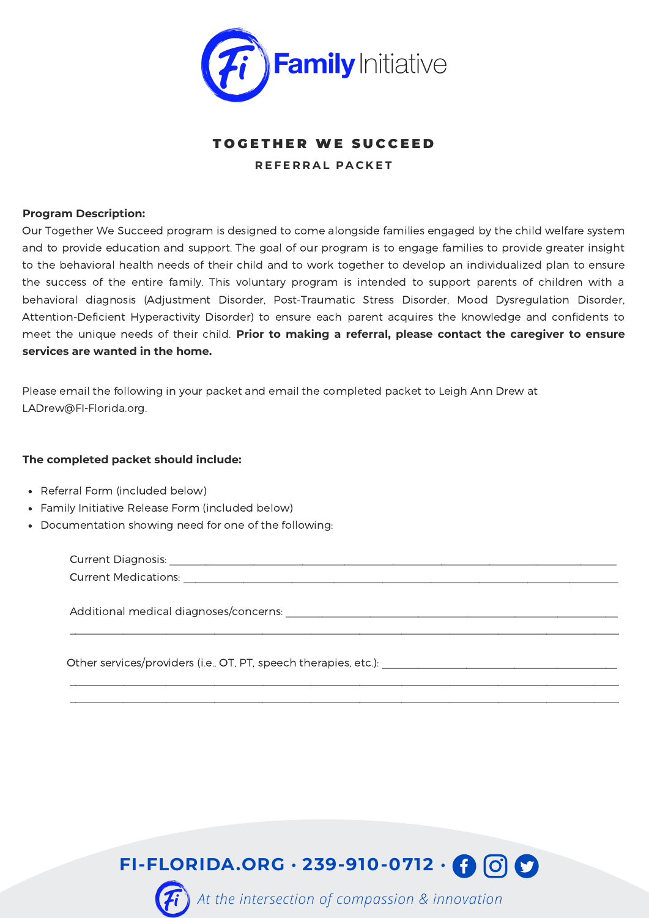

## TO GETHER WE SUCCEED **R E F E R R A L P A C K E T**

## **Program Description:**

Our Together We Succeed program is designed to come alongside families engaged by the child welfare system and to provide education and support. The goal of our program is to engage families to provide greater insight to the behavioral health needs of their child and to work together to develop an individualized plan to ensure the success of the entire family. This voluntary program is intended to support parents of children with a behavioral diagnosis (Adjustment Disorder, Post-Traumatic Stress Disorder, Mood Dysregulation Disorder, Attention-Deficient Hyperactivity Disorder) to ensure each parent acquires the knowledge and confidents to meet the unique needs of their child. **Prior to making a referral, please contact the caregiver to ensure services are wanted in the home.**

Please email the following in your packet and email the completed packet to Leigh Ann Drew at LADrew@FI-Florida.org.

## **The completed packet should include:**

- Referral Form (included below)
- Family Initiative Release Form (included below)
- Documentation showing need for one of the following:

 Current Diagnosis: \_\_\_\_\_\_\_\_\_\_\_\_\_\_\_\_\_\_\_\_\_\_\_\_\_\_\_\_\_\_\_\_\_\_\_\_\_\_\_\_\_\_\_\_\_\_\_\_\_\_\_\_\_\_\_\_\_\_\_\_\_\_\_\_\_\_\_\_\_\_\_\_\_\_ Current Medications: \_\_\_\_\_\_\_\_\_\_\_\_\_\_\_\_\_\_\_\_\_\_\_\_\_\_\_\_\_\_\_\_\_\_\_\_\_\_\_\_\_\_\_\_\_\_\_\_\_\_\_\_\_\_\_\_\_\_\_\_\_\_\_\_\_\_\_\_\_\_\_\_

\_\_\_\_\_\_\_\_\_\_\_\_\_\_\_\_\_\_\_\_\_\_\_\_\_\_\_\_\_\_\_\_\_\_\_\_\_\_\_\_\_\_\_\_\_\_\_\_\_\_\_\_\_\_\_\_\_\_\_\_\_\_\_\_\_\_\_\_\_\_\_\_\_\_\_\_\_\_\_\_\_\_\_\_\_\_\_\_\_\_\_

 \_\_\_\_\_\_\_\_\_\_\_\_\_\_\_\_\_\_\_\_\_\_\_\_\_\_\_\_\_\_\_\_\_\_\_\_\_\_\_\_\_\_\_\_\_\_\_\_\_\_\_\_\_\_\_\_\_\_\_\_\_\_\_\_\_\_\_\_\_\_\_\_\_\_\_\_\_\_\_\_\_\_\_\_\_\_\_\_\_\_\_ \_\_\_\_\_\_\_\_\_\_\_\_\_\_\_\_\_\_\_\_\_\_\_\_\_\_\_\_\_\_\_\_\_\_\_\_\_\_\_\_\_\_\_\_\_\_\_\_\_\_\_\_\_\_\_\_\_\_\_\_\_\_\_\_\_\_\_\_\_\_\_\_\_\_\_\_\_\_\_\_\_\_\_\_\_\_\_\_\_\_\_

Additional medical diagnoses/concerns: \_\_\_\_\_\_\_\_\_\_\_\_\_\_\_\_\_\_\_\_\_\_\_\_\_\_\_\_\_\_\_\_\_\_\_\_\_\_\_\_\_\_\_\_\_\_\_\_\_\_\_\_\_\_\_

Other services/providers (i.e., OT, PT, speech therapies, etc.):